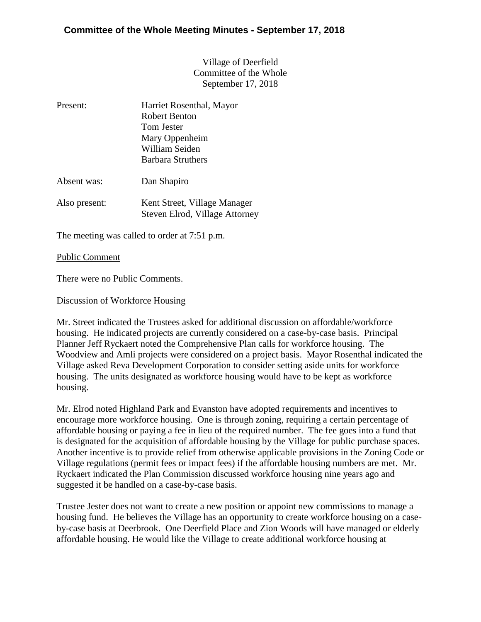Village of Deerfield Committee of the Whole September 17, 2018

| Present:    | Harriet Rosenthal, Mayor<br><b>Robert Benton</b><br>Tom Jester<br>Mary Oppenheim<br>William Seiden |
|-------------|----------------------------------------------------------------------------------------------------|
|             | Barbara Struthers                                                                                  |
| Absent was: | Dan Shapiro                                                                                        |

Also present: Kent Street, Village Manager Steven Elrod, Village Attorney

The meeting was called to order at 7:51 p.m.

## Public Comment

There were no Public Comments.

## Discussion of Workforce Housing

Mr. Street indicated the Trustees asked for additional discussion on affordable/workforce housing. He indicated projects are currently considered on a case-by-case basis. Principal Planner Jeff Ryckaert noted the Comprehensive Plan calls for workforce housing. The Woodview and Amli projects were considered on a project basis. Mayor Rosenthal indicated the Village asked Reva Development Corporation to consider setting aside units for workforce housing. The units designated as workforce housing would have to be kept as workforce housing.

Mr. Elrod noted Highland Park and Evanston have adopted requirements and incentives to encourage more workforce housing. One is through zoning, requiring a certain percentage of affordable housing or paying a fee in lieu of the required number. The fee goes into a fund that is designated for the acquisition of affordable housing by the Village for public purchase spaces. Another incentive is to provide relief from otherwise applicable provisions in the Zoning Code or Village regulations (permit fees or impact fees) if the affordable housing numbers are met. Mr. Ryckaert indicated the Plan Commission discussed workforce housing nine years ago and suggested it be handled on a case-by-case basis.

Trustee Jester does not want to create a new position or appoint new commissions to manage a housing fund. He believes the Village has an opportunity to create workforce housing on a caseby-case basis at Deerbrook. One Deerfield Place and Zion Woods will have managed or elderly affordable housing. He would like the Village to create additional workforce housing at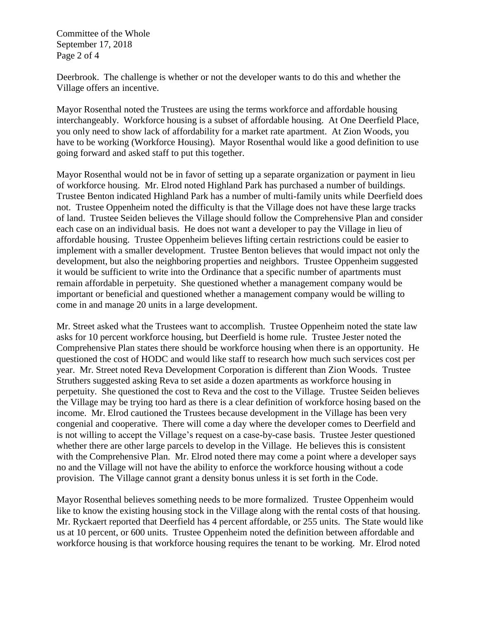Committee of the Whole September 17, 2018 Page 2 of 4

Deerbrook. The challenge is whether or not the developer wants to do this and whether the Village offers an incentive.

Mayor Rosenthal noted the Trustees are using the terms workforce and affordable housing interchangeably. Workforce housing is a subset of affordable housing. At One Deerfield Place, you only need to show lack of affordability for a market rate apartment. At Zion Woods, you have to be working (Workforce Housing). Mayor Rosenthal would like a good definition to use going forward and asked staff to put this together.

Mayor Rosenthal would not be in favor of setting up a separate organization or payment in lieu of workforce housing. Mr. Elrod noted Highland Park has purchased a number of buildings. Trustee Benton indicated Highland Park has a number of multi-family units while Deerfield does not. Trustee Oppenheim noted the difficulty is that the Village does not have these large tracks of land. Trustee Seiden believes the Village should follow the Comprehensive Plan and consider each case on an individual basis. He does not want a developer to pay the Village in lieu of affordable housing. Trustee Oppenheim believes lifting certain restrictions could be easier to implement with a smaller development. Trustee Benton believes that would impact not only the development, but also the neighboring properties and neighbors. Trustee Oppenheim suggested it would be sufficient to write into the Ordinance that a specific number of apartments must remain affordable in perpetuity. She questioned whether a management company would be important or beneficial and questioned whether a management company would be willing to come in and manage 20 units in a large development.

Mr. Street asked what the Trustees want to accomplish. Trustee Oppenheim noted the state law asks for 10 percent workforce housing, but Deerfield is home rule. Trustee Jester noted the Comprehensive Plan states there should be workforce housing when there is an opportunity. He questioned the cost of HODC and would like staff to research how much such services cost per year. Mr. Street noted Reva Development Corporation is different than Zion Woods. Trustee Struthers suggested asking Reva to set aside a dozen apartments as workforce housing in perpetuity. She questioned the cost to Reva and the cost to the Village. Trustee Seiden believes the Village may be trying too hard as there is a clear definition of workforce hosing based on the income. Mr. Elrod cautioned the Trustees because development in the Village has been very congenial and cooperative. There will come a day where the developer comes to Deerfield and is not willing to accept the Village's request on a case-by-case basis. Trustee Jester questioned whether there are other large parcels to develop in the Village. He believes this is consistent with the Comprehensive Plan. Mr. Elrod noted there may come a point where a developer says no and the Village will not have the ability to enforce the workforce housing without a code provision. The Village cannot grant a density bonus unless it is set forth in the Code.

Mayor Rosenthal believes something needs to be more formalized. Trustee Oppenheim would like to know the existing housing stock in the Village along with the rental costs of that housing. Mr. Ryckaert reported that Deerfield has 4 percent affordable, or 255 units. The State would like us at 10 percent, or 600 units. Trustee Oppenheim noted the definition between affordable and workforce housing is that workforce housing requires the tenant to be working. Mr. Elrod noted